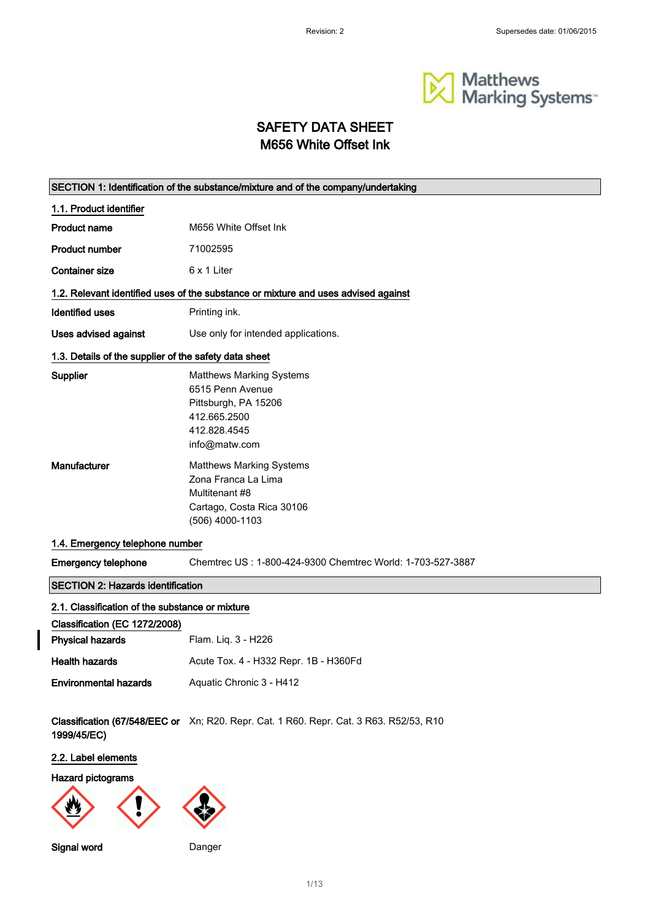

# SAFETY DATA SHEET M656 White Offset Ink

| SECTION 1: Identification of the substance/mixture and of the company/undertaking |                                                                                                                              |  |
|-----------------------------------------------------------------------------------|------------------------------------------------------------------------------------------------------------------------------|--|
| 1.1. Product identifier                                                           |                                                                                                                              |  |
| <b>Product name</b>                                                               | M656 White Offset Ink                                                                                                        |  |
| <b>Product number</b>                                                             | 71002595                                                                                                                     |  |
| <b>Container size</b>                                                             | 6 x 1 Liter                                                                                                                  |  |
|                                                                                   | 1.2. Relevant identified uses of the substance or mixture and uses advised against                                           |  |
| <b>Identified uses</b>                                                            | Printing ink.                                                                                                                |  |
| Uses advised against                                                              | Use only for intended applications.                                                                                          |  |
| 1.3. Details of the supplier of the safety data sheet                             |                                                                                                                              |  |
| <b>Supplier</b>                                                                   | <b>Matthews Marking Systems</b><br>6515 Penn Avenue<br>Pittsburgh, PA 15206<br>412.665.2500<br>412.828.4545<br>info@matw.com |  |
| Manufacturer                                                                      | <b>Matthews Marking Systems</b><br>Zona Franca La Lima<br>Multitenant #8<br>Cartago, Costa Rica 30106<br>(506) 4000-1103     |  |
| 1.4. Emergency telephone number                                                   |                                                                                                                              |  |
| <b>Emergency telephone</b>                                                        | Chemtrec US: 1-800-424-9300 Chemtrec World: 1-703-527-3887                                                                   |  |
| <b>SECTION 2: Hazards identification</b>                                          |                                                                                                                              |  |
| 2.1. Classification of the substance or mixture                                   |                                                                                                                              |  |
| Classification (EC 1272/2008)<br><b>Physical hazards</b>                          | Flam. Liq. 3 - H226                                                                                                          |  |
| <b>Health hazards</b>                                                             | Acute Tox. 4 - H332 Repr. 1B - H360Fd                                                                                        |  |
| <b>Environmental hazards</b>                                                      | Aquatic Chronic 3 - H412                                                                                                     |  |
| 1999/45/EC)                                                                       | Classification (67/548/EEC or Xn; R20. Repr. Cat. 1 R60. Repr. Cat. 3 R63. R52/53, R10                                       |  |
| 2.2. Label elements                                                               |                                                                                                                              |  |
| Hazard pictograms                                                                 |                                                                                                                              |  |
|                                                                                   |                                                                                                                              |  |



 $\overline{\phantom{a}}$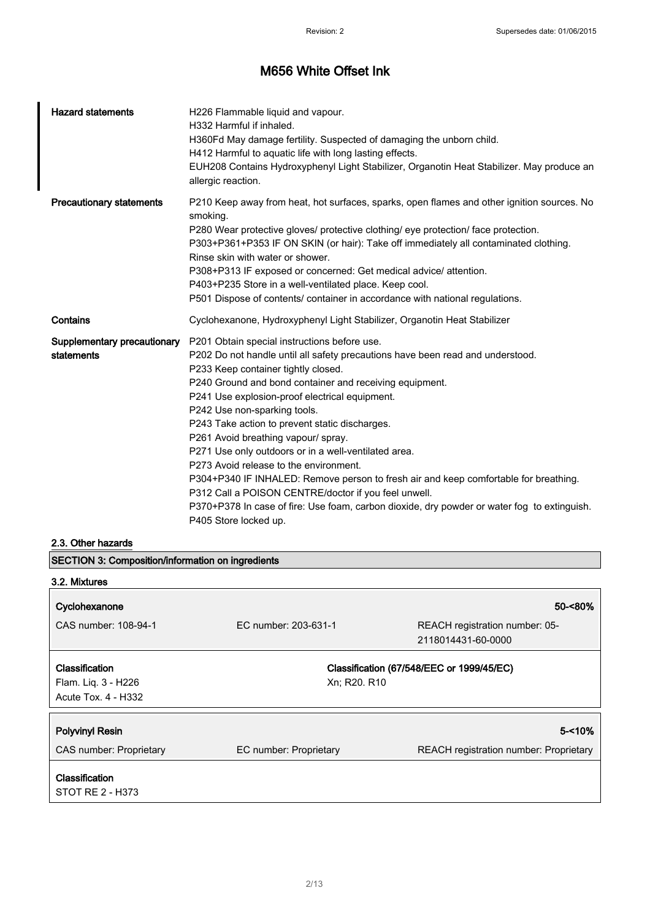| <b>Hazard statements</b>                  | H226 Flammable liquid and vapour.<br>H332 Harmful if inhaled.<br>H360Fd May damage fertility. Suspected of damaging the unborn child.<br>H412 Harmful to aquatic life with long lasting effects.<br>EUH208 Contains Hydroxyphenyl Light Stabilizer, Organotin Heat Stabilizer. May produce an<br>allergic reaction.                                                                                                                                                                                                                                                                                                                                                                                                                                                                   |
|-------------------------------------------|---------------------------------------------------------------------------------------------------------------------------------------------------------------------------------------------------------------------------------------------------------------------------------------------------------------------------------------------------------------------------------------------------------------------------------------------------------------------------------------------------------------------------------------------------------------------------------------------------------------------------------------------------------------------------------------------------------------------------------------------------------------------------------------|
| <b>Precautionary statements</b>           | P210 Keep away from heat, hot surfaces, sparks, open flames and other ignition sources. No<br>smoking.<br>P280 Wear protective gloves/ protective clothing/ eye protection/ face protection.<br>P303+P361+P353 IF ON SKIN (or hair): Take off immediately all contaminated clothing.<br>Rinse skin with water or shower.<br>P308+P313 IF exposed or concerned: Get medical advice/ attention.<br>P403+P235 Store in a well-ventilated place. Keep cool.<br>P501 Dispose of contents/ container in accordance with national regulations.                                                                                                                                                                                                                                               |
| Contains                                  | Cyclohexanone, Hydroxyphenyl Light Stabilizer, Organotin Heat Stabilizer                                                                                                                                                                                                                                                                                                                                                                                                                                                                                                                                                                                                                                                                                                              |
| Supplementary precautionary<br>statements | P201 Obtain special instructions before use.<br>P202 Do not handle until all safety precautions have been read and understood.<br>P233 Keep container tightly closed.<br>P240 Ground and bond container and receiving equipment.<br>P241 Use explosion-proof electrical equipment.<br>P242 Use non-sparking tools.<br>P243 Take action to prevent static discharges.<br>P261 Avoid breathing vapour/ spray.<br>P271 Use only outdoors or in a well-ventilated area.<br>P273 Avoid release to the environment.<br>P304+P340 IF INHALED: Remove person to fresh air and keep comfortable for breathing.<br>P312 Call a POISON CENTRE/doctor if you feel unwell.<br>P370+P378 In case of fire: Use foam, carbon dioxide, dry powder or water fog to extinguish.<br>P405 Store locked up. |

### 2.3. Other hazards

| <b>SECTION 3: Composition/information on ingredients</b>                   |                        |                                                      |
|----------------------------------------------------------------------------|------------------------|------------------------------------------------------|
| 3.2. Mixtures                                                              |                        |                                                      |
| Cyclohexanone                                                              |                        | 50-<80%                                              |
| CAS number: 108-94-1                                                       | EC number: 203-631-1   | REACH registration number: 05-<br>2118014431-60-0000 |
| <b>Classification</b><br>Flam. Liq. 3 - H226<br><b>Acute Tox. 4 - H332</b> | Xn; R20, R10           | Classification (67/548/EEC or 1999/45/EC)            |
| <b>Polyvinyl Resin</b>                                                     |                        | $5 - 10%$                                            |
| CAS number: Proprietary                                                    | EC number: Proprietary | <b>REACH registration number: Proprietary</b>        |
| Classification<br>STOT RE 2 - H373                                         |                        |                                                      |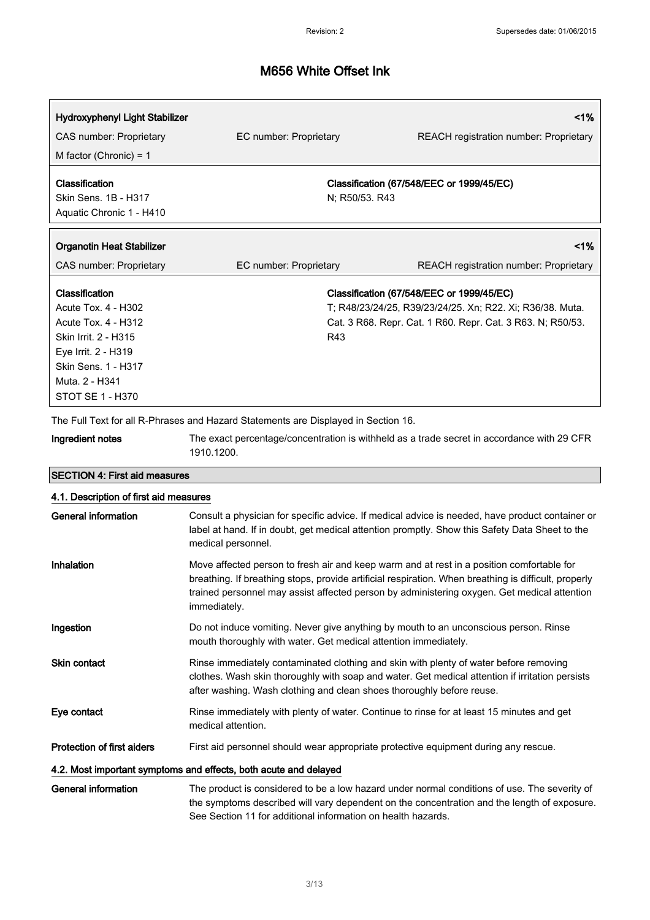| Hydroxyphenyl Light Stabilizer<br>CAS number: Proprietary<br>M factor (Chronic) = $1$                                                                                    | EC number: Proprietary | $1\%$<br><b>REACH</b> registration number: Proprietary                                                                                                               |
|--------------------------------------------------------------------------------------------------------------------------------------------------------------------------|------------------------|----------------------------------------------------------------------------------------------------------------------------------------------------------------------|
| Classification<br>Skin Sens. 1B - H317<br>Aquatic Chronic 1 - H410                                                                                                       | N; R50/53. R43         | Classification (67/548/EEC or 1999/45/EC)                                                                                                                            |
| <b>Organotin Heat Stabilizer</b><br>CAS number: Proprietary                                                                                                              | EC number: Proprietary | $1\%$<br><b>REACH</b> registration number: Proprietary                                                                                                               |
| Classification<br>Acute Tox. 4 - H302<br>Acute Tox. 4 - H312<br>Skin Irrit. 2 - H315<br>Eye Irrit. 2 - H319<br>Skin Sens. 1 - H317<br>Muta. 2 - H341<br>STOT SE 1 - H370 | R43                    | Classification (67/548/EEC or 1999/45/EC)<br>T; R48/23/24/25, R39/23/24/25. Xn; R22. Xi; R36/38. Muta.<br>Cat. 3 R68. Repr. Cat. 1 R60. Repr. Cat. 3 R63. N; R50/53. |

The Full Text for all R-Phrases and Hazard Statements are Displayed in Section 16.

Ingredient notes The exact percentage/concentration is withheld as a trade secret in accordance with 29 CFR 1910.1200.

| <b>SECTION 4: First aid measures</b>                             |                                                                                                                                                                                                                                                                                                                  |  |  |
|------------------------------------------------------------------|------------------------------------------------------------------------------------------------------------------------------------------------------------------------------------------------------------------------------------------------------------------------------------------------------------------|--|--|
|                                                                  | 4.1. Description of first aid measures                                                                                                                                                                                                                                                                           |  |  |
| <b>General information</b>                                       | Consult a physician for specific advice. If medical advice is needed, have product container or<br>label at hand. If in doubt, get medical attention promptly. Show this Safety Data Sheet to the<br>medical personnel.                                                                                          |  |  |
| Inhalation                                                       | Move affected person to fresh air and keep warm and at rest in a position comfortable for<br>breathing. If breathing stops, provide artificial respiration. When breathing is difficult, properly<br>trained personnel may assist affected person by administering oxygen. Get medical attention<br>immediately. |  |  |
| Ingestion                                                        | Do not induce vomiting. Never give anything by mouth to an unconscious person. Rinse<br>mouth thoroughly with water. Get medical attention immediately.                                                                                                                                                          |  |  |
| Skin contact                                                     | Rinse immediately contaminated clothing and skin with plenty of water before removing<br>clothes. Wash skin thoroughly with soap and water. Get medical attention if irritation persists<br>after washing. Wash clothing and clean shoes thoroughly before reuse.                                                |  |  |
| Eye contact                                                      | Rinse immediately with plenty of water. Continue to rinse for at least 15 minutes and get<br>medical attention.                                                                                                                                                                                                  |  |  |
| <b>Protection of first aiders</b>                                | First aid personnel should wear appropriate protective equipment during any rescue.                                                                                                                                                                                                                              |  |  |
| 4.2. Most important symptoms and effects, both acute and delayed |                                                                                                                                                                                                                                                                                                                  |  |  |
| General information                                              | The product is considered to be a low hazard under normal conditions of use. The severity of<br>the symptoms described will vary dependent on the concentration and the length of exposure.<br>See Section 11 for additional information on health hazards.                                                      |  |  |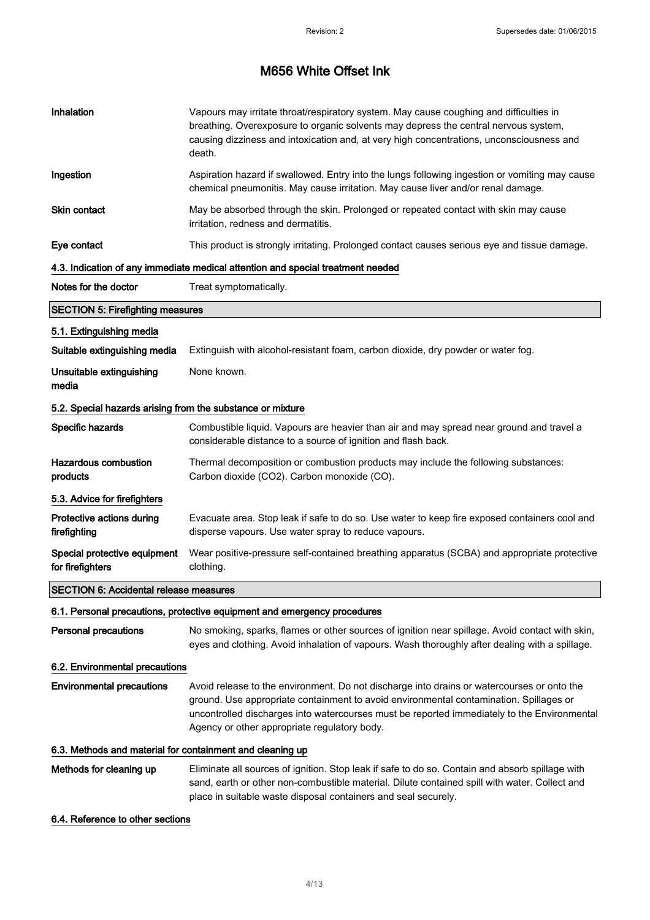| Inhalation                                                 | Vapours may irritate throat/respiratory system. May cause coughing and difficulties in<br>breathing. Overexposure to organic solvents may depress the central nervous system,<br>causing dizziness and intoxication and, at very high concentrations, unconsciousness and<br>death.                                                 |
|------------------------------------------------------------|-------------------------------------------------------------------------------------------------------------------------------------------------------------------------------------------------------------------------------------------------------------------------------------------------------------------------------------|
| Ingestion                                                  | Aspiration hazard if swallowed. Entry into the lungs following ingestion or vomiting may cause<br>chemical pneumonitis. May cause irritation. May cause liver and/or renal damage.                                                                                                                                                  |
| Skin contact                                               | May be absorbed through the skin. Prolonged or repeated contact with skin may cause<br>irritation, redness and dermatitis.                                                                                                                                                                                                          |
| Eye contact                                                | This product is strongly irritating. Prolonged contact causes serious eye and tissue damage.                                                                                                                                                                                                                                        |
|                                                            | 4.3. Indication of any immediate medical attention and special treatment needed                                                                                                                                                                                                                                                     |
| Notes for the doctor                                       | Treat symptomatically.                                                                                                                                                                                                                                                                                                              |
| <b>SECTION 5: Firefighting measures</b>                    |                                                                                                                                                                                                                                                                                                                                     |
| 5.1. Extinguishing media                                   |                                                                                                                                                                                                                                                                                                                                     |
| Suitable extinguishing media                               | Extinguish with alcohol-resistant foam, carbon dioxide, dry powder or water fog.                                                                                                                                                                                                                                                    |
| Unsuitable extinguishing<br>media                          | None known.                                                                                                                                                                                                                                                                                                                         |
| 5.2. Special hazards arising from the substance or mixture |                                                                                                                                                                                                                                                                                                                                     |
| Specific hazards                                           | Combustible liquid. Vapours are heavier than air and may spread near ground and travel a<br>considerable distance to a source of ignition and flash back.                                                                                                                                                                           |
| <b>Hazardous combustion</b><br>products                    | Thermal decomposition or combustion products may include the following substances:<br>Carbon dioxide (CO2). Carbon monoxide (CO).                                                                                                                                                                                                   |
| 5.3. Advice for firefighters                               |                                                                                                                                                                                                                                                                                                                                     |
| Protective actions during<br>firefighting                  | Evacuate area. Stop leak if safe to do so. Use water to keep fire exposed containers cool and<br>disperse vapours. Use water spray to reduce vapours.                                                                                                                                                                               |
| Special protective equipment<br>for firefighters           | Wear positive-pressure self-contained breathing apparatus (SCBA) and appropriate protective<br>clothing.                                                                                                                                                                                                                            |
| <b>SECTION 6: Accidental release measures</b>              |                                                                                                                                                                                                                                                                                                                                     |
|                                                            | 6.1. Personal precautions, protective equipment and emergency procedures                                                                                                                                                                                                                                                            |
| Personal precautions                                       | No smoking, sparks, flames or other sources of ignition near spillage. Avoid contact with skin,<br>eyes and clothing. Avoid inhalation of vapours. Wash thoroughly after dealing with a spillage.                                                                                                                                   |
| 6.2. Environmental precautions                             |                                                                                                                                                                                                                                                                                                                                     |
| <b>Environmental precautions</b>                           | Avoid release to the environment. Do not discharge into drains or watercourses or onto the<br>ground. Use appropriate containment to avoid environmental contamination. Spillages or<br>uncontrolled discharges into watercourses must be reported immediately to the Environmental<br>Agency or other appropriate regulatory body. |
| 6.3. Methods and material for containment and cleaning up  |                                                                                                                                                                                                                                                                                                                                     |
| Methods for cleaning up                                    | Eliminate all sources of ignition. Stop leak if safe to do so. Contain and absorb spillage with<br>sand, earth or other non-combustible material. Dilute contained spill with water. Collect and<br>place in suitable waste disposal containers and seal securely.                                                                  |
| 6.4. Reference to other sections                           |                                                                                                                                                                                                                                                                                                                                     |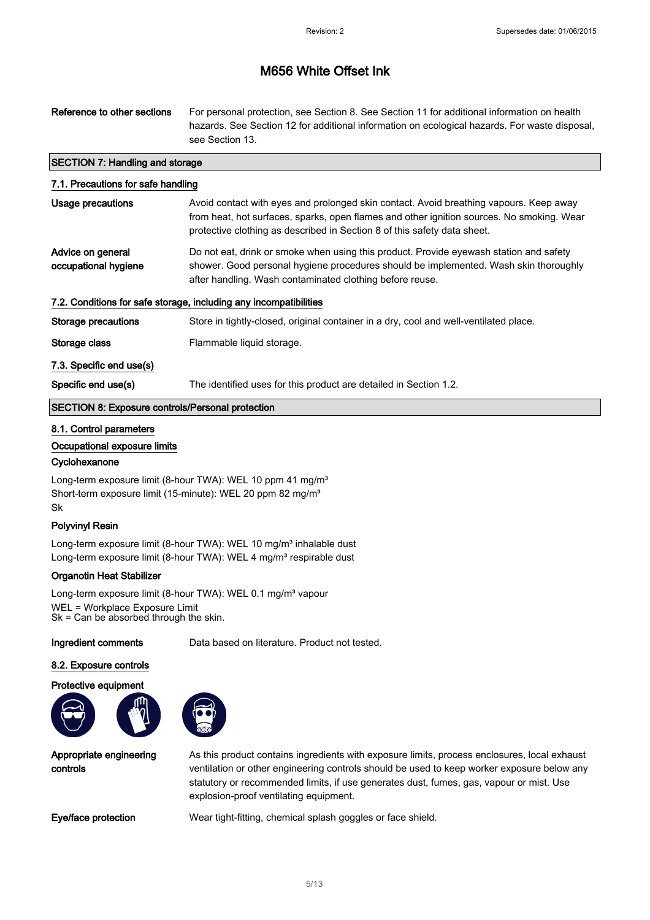| Reference to other sections                                       | For personal protection, see Section 8. See Section 11 for additional information on health<br>hazards. See Section 12 for additional information on ecological hazards. For waste disposal,<br>see Section 13.                                                 |  |
|-------------------------------------------------------------------|-----------------------------------------------------------------------------------------------------------------------------------------------------------------------------------------------------------------------------------------------------------------|--|
| <b>SECTION 7: Handling and storage</b>                            |                                                                                                                                                                                                                                                                 |  |
| 7.1. Precautions for safe handling                                |                                                                                                                                                                                                                                                                 |  |
| Usage precautions                                                 | Avoid contact with eyes and prolonged skin contact. Avoid breathing vapours. Keep away<br>from heat, hot surfaces, sparks, open flames and other ignition sources. No smoking. Wear<br>protective clothing as described in Section 8 of this safety data sheet. |  |
| Advice on general<br>occupational hygiene                         | Do not eat, drink or smoke when using this product. Provide eyewash station and safety<br>shower. Good personal hygiene procedures should be implemented. Wash skin thoroughly<br>after handling. Wash contaminated clothing before reuse.                      |  |
| 7.2. Conditions for safe storage, including any incompatibilities |                                                                                                                                                                                                                                                                 |  |
| Storage precautions                                               | Store in tightly-closed, original container in a dry, cool and well-ventilated place.                                                                                                                                                                           |  |
| Storage class                                                     | Flammable liquid storage.                                                                                                                                                                                                                                       |  |
| 7.3. Specific end use(s)                                          |                                                                                                                                                                                                                                                                 |  |
| Specific end use(s)                                               | The identified uses for this product are detailed in Section 1.2.                                                                                                                                                                                               |  |
| <b>SECTION 8: Exposure controls/Personal protection</b>           |                                                                                                                                                                                                                                                                 |  |

#### 8.1. Control parameters

#### Occupational exposure limits

#### **Cyclohexanone**

Long-term exposure limit (8-hour TWA): WEL 10 ppm 41 mg/m<sup>3</sup> Short-term exposure limit (15-minute): WEL 20 ppm 82 mg/m<sup>3</sup> Sk

#### Polyvinyl Resin

Long-term exposure limit (8-hour TWA): WEL 10 mg/m<sup>3</sup> inhalable dust Long-term exposure limit (8-hour TWA): WEL 4 mg/m<sup>3</sup> respirable dust

#### Organotin Heat Stabilizer

Long-term exposure limit (8-hour TWA): WEL 0.1 mg/m<sup>3</sup> vapour WEL = Workplace Exposure Limit Sk = Can be absorbed through the skin.

Ingredient comments Data based on literature. Product not tested.

#### 8.2. Exposure controls

Protective equipment



Appropriate engineering controls

As this product contains ingredients with exposure limits, process enclosures, local exhaust ventilation or other engineering controls should be used to keep worker exposure below any statutory or recommended limits, if use generates dust, fumes, gas, vapour or mist. Use explosion-proof ventilating equipment.

Eye/face protection Wear tight-fitting, chemical splash goggles or face shield.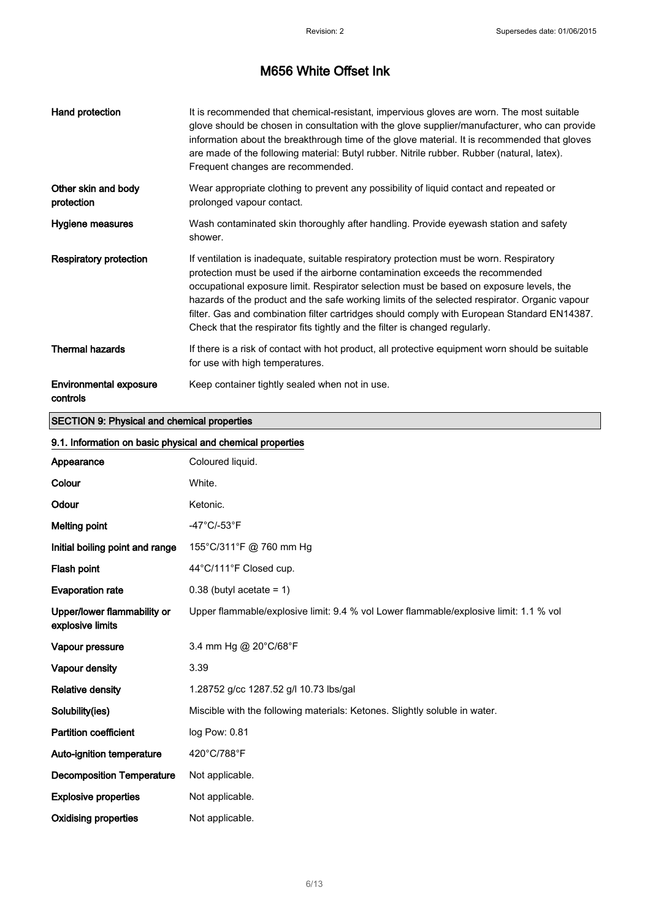| Hand protection                           | It is recommended that chemical-resistant, impervious gloves are worn. The most suitable<br>glove should be chosen in consultation with the glove supplier/manufacturer, who can provide<br>information about the breakthrough time of the glove material. It is recommended that gloves<br>are made of the following material: Butyl rubber. Nitrile rubber. Rubber (natural, latex).<br>Frequent changes are recommended.                                                                                                                        |
|-------------------------------------------|----------------------------------------------------------------------------------------------------------------------------------------------------------------------------------------------------------------------------------------------------------------------------------------------------------------------------------------------------------------------------------------------------------------------------------------------------------------------------------------------------------------------------------------------------|
| Other skin and body<br>protection         | Wear appropriate clothing to prevent any possibility of liquid contact and repeated or<br>prolonged vapour contact.                                                                                                                                                                                                                                                                                                                                                                                                                                |
| Hygiene measures                          | Wash contaminated skin thoroughly after handling. Provide eyewash station and safety<br>shower.                                                                                                                                                                                                                                                                                                                                                                                                                                                    |
| <b>Respiratory protection</b>             | If ventilation is inadequate, suitable respiratory protection must be worn. Respiratory<br>protection must be used if the airborne contamination exceeds the recommended<br>occupational exposure limit. Respirator selection must be based on exposure levels, the<br>hazards of the product and the safe working limits of the selected respirator. Organic vapour<br>filter. Gas and combination filter cartridges should comply with European Standard EN14387.<br>Check that the respirator fits tightly and the filter is changed regularly. |
| <b>Thermal hazards</b>                    | If there is a risk of contact with hot product, all protective equipment worn should be suitable<br>for use with high temperatures.                                                                                                                                                                                                                                                                                                                                                                                                                |
| <b>Environmental exposure</b><br>controls | Keep container tightly sealed when not in use.                                                                                                                                                                                                                                                                                                                                                                                                                                                                                                     |

### SECTION 9: Physical and chemical properties

#### 9.1. Information on basic physical and chemical properties

| Appearance                                      | Coloured liquid.                                                                      |
|-------------------------------------------------|---------------------------------------------------------------------------------------|
| Colour                                          | White.                                                                                |
| Odour                                           | Ketonic.                                                                              |
| <b>Melting point</b>                            | $-47^{\circ}$ C/-53 $^{\circ}$ F                                                      |
| Initial boiling point and range                 | 155°C/311°F @ 760 mm Hg                                                               |
| Flash point                                     | 44°C/111°F Closed cup.                                                                |
| <b>Evaporation rate</b>                         | $0.38$ (butyl acetate = 1)                                                            |
| Upper/lower flammability or<br>explosive limits | Upper flammable/explosive limit: 9.4 % vol Lower flammable/explosive limit: 1.1 % vol |
| Vapour pressure                                 | 3.4 mm Hg @ 20°C/68°F                                                                 |
| Vapour density                                  | 3.39                                                                                  |
| <b>Relative density</b>                         | 1.28752 g/cc 1287.52 g/l 10.73 lbs/gal                                                |
| Solubility(ies)                                 | Miscible with the following materials: Ketones. Slightly soluble in water.            |
| <b>Partition coefficient</b>                    | log Pow: 0.81                                                                         |
| Auto-ignition temperature                       | 420°C/788°F                                                                           |
| <b>Decomposition Temperature</b>                | Not applicable.                                                                       |
| <b>Explosive properties</b>                     | Not applicable.                                                                       |
| <b>Oxidising properties</b>                     | Not applicable.                                                                       |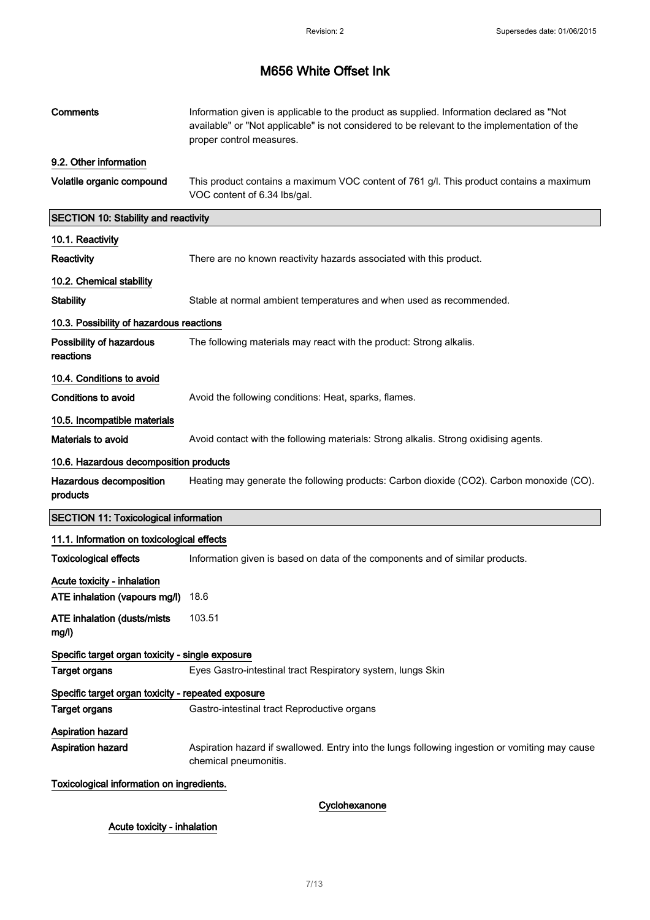| Comments                                           | Information given is applicable to the product as supplied. Information declared as "Not<br>available" or "Not applicable" is not considered to be relevant to the implementation of the<br>proper control measures. |
|----------------------------------------------------|----------------------------------------------------------------------------------------------------------------------------------------------------------------------------------------------------------------------|
| 9.2. Other information                             |                                                                                                                                                                                                                      |
| Volatile organic compound                          | This product contains a maximum VOC content of 761 g/l. This product contains a maximum<br>VOC content of 6.34 lbs/gal.                                                                                              |
| <b>SECTION 10: Stability and reactivity</b>        |                                                                                                                                                                                                                      |
| 10.1. Reactivity                                   |                                                                                                                                                                                                                      |
| Reactivity                                         | There are no known reactivity hazards associated with this product.                                                                                                                                                  |
| 10.2. Chemical stability                           |                                                                                                                                                                                                                      |
| <b>Stability</b>                                   | Stable at normal ambient temperatures and when used as recommended.                                                                                                                                                  |
| 10.3. Possibility of hazardous reactions           |                                                                                                                                                                                                                      |
| Possibility of hazardous<br>reactions              | The following materials may react with the product: Strong alkalis.                                                                                                                                                  |
| 10.4. Conditions to avoid                          |                                                                                                                                                                                                                      |
| <b>Conditions to avoid</b>                         | Avoid the following conditions: Heat, sparks, flames.                                                                                                                                                                |
| 10.5. Incompatible materials                       |                                                                                                                                                                                                                      |
| Materials to avoid                                 | Avoid contact with the following materials: Strong alkalis. Strong oxidising agents.                                                                                                                                 |
| 10.6. Hazardous decomposition products             |                                                                                                                                                                                                                      |
| Hazardous decomposition<br>products                | Heating may generate the following products: Carbon dioxide (CO2). Carbon monoxide (CO).                                                                                                                             |
| <b>SECTION 11: Toxicological information</b>       |                                                                                                                                                                                                                      |
| 11.1. Information on toxicological effects         |                                                                                                                                                                                                                      |
| <b>Toxicological effects</b>                       | Information given is based on data of the components and of similar products.                                                                                                                                        |
| Acute toxicity - inhalation                        |                                                                                                                                                                                                                      |
| ATE inhalation (vapours mg/l)                      | 18.6                                                                                                                                                                                                                 |
| <b>ATE inhalation (dusts/mists)</b><br>mg/l)       | 103.51                                                                                                                                                                                                               |
| Specific target organ toxicity - single exposure   |                                                                                                                                                                                                                      |
| <b>Target organs</b>                               | Eyes Gastro-intestinal tract Respiratory system, lungs Skin                                                                                                                                                          |
| Specific target organ toxicity - repeated exposure |                                                                                                                                                                                                                      |
| <b>Target organs</b>                               | Gastro-intestinal tract Reproductive organs                                                                                                                                                                          |
| Aspiration hazard<br>Aspiration hazard             | Aspiration hazard if swallowed. Entry into the lungs following ingestion or vomiting may cause<br>chemical pneumonitis.                                                                                              |
| Toxicological information on ingredients.          |                                                                                                                                                                                                                      |

### Cyclohexanone

Acute toxicity - inhalation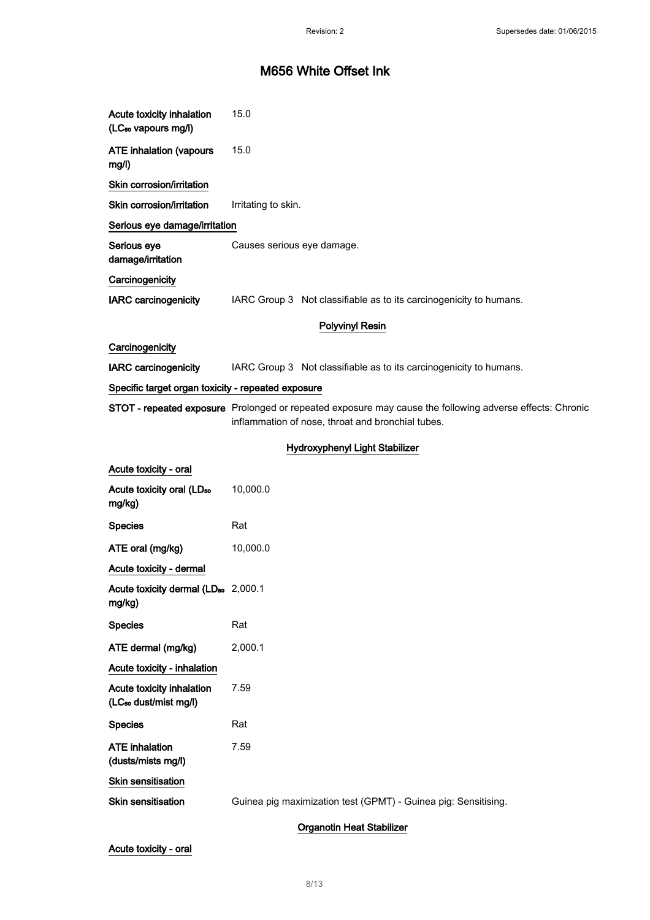| Acute toxicity inhalation<br>(LC <sub>50</sub> vapours mg/l)   | 15.0                                                                                                                                                          |  |
|----------------------------------------------------------------|---------------------------------------------------------------------------------------------------------------------------------------------------------------|--|
| <b>ATE inhalation (vapours</b><br>mg/l)                        | 15.0                                                                                                                                                          |  |
| Skin corrosion/irritation                                      |                                                                                                                                                               |  |
| Skin corrosion/irritation                                      | Irritating to skin.                                                                                                                                           |  |
| Serious eye damage/irritation                                  |                                                                                                                                                               |  |
| Serious eye<br>damage/irritation                               | Causes serious eye damage.                                                                                                                                    |  |
| Carcinogenicity                                                |                                                                                                                                                               |  |
| <b>IARC</b> carcinogenicity                                    | IARC Group 3 Not classifiable as to its carcinogenicity to humans.                                                                                            |  |
|                                                                | <b>Polyvinyl Resin</b>                                                                                                                                        |  |
| Carcinogenicity                                                |                                                                                                                                                               |  |
| <b>IARC</b> carcinogenicity                                    | IARC Group 3 Not classifiable as to its carcinogenicity to humans.                                                                                            |  |
| Specific target organ toxicity - repeated exposure             |                                                                                                                                                               |  |
|                                                                | STOT - repeated exposure Prolonged or repeated exposure may cause the following adverse effects: Chronic<br>inflammation of nose, throat and bronchial tubes. |  |
|                                                                | Hydroxyphenyl Light Stabilizer                                                                                                                                |  |
| Acute toxicity - oral                                          |                                                                                                                                                               |  |
| Acute toxicity oral (LD <sub>50</sub><br>mg/kg)                | 10,000.0                                                                                                                                                      |  |
| <b>Species</b>                                                 | Rat                                                                                                                                                           |  |
| ATE oral (mg/kg)                                               | 10,000.0                                                                                                                                                      |  |
| Acute toxicity - dermal                                        |                                                                                                                                                               |  |
| Acute toxicity dermal (LD <sub>50</sub> 2,000.1<br>mg/kg)      |                                                                                                                                                               |  |
| <b>Species</b>                                                 | Rat                                                                                                                                                           |  |
| ATE dermal (mg/kg)                                             | 2,000.1                                                                                                                                                       |  |
| Acute toxicity - inhalation                                    |                                                                                                                                                               |  |
| Acute toxicity inhalation<br>(LC <sub>50</sub> dust/mist mg/l) | 7.59                                                                                                                                                          |  |
| <b>Species</b>                                                 | Rat                                                                                                                                                           |  |
| <b>ATE</b> inhalation<br>(dusts/mists mg/l)                    | 7.59                                                                                                                                                          |  |
| Skin sensitisation                                             |                                                                                                                                                               |  |
| Skin sensitisation                                             | Guinea pig maximization test (GPMT) - Guinea pig: Sensitising.                                                                                                |  |
| <b>Organotin Heat Stabilizer</b>                               |                                                                                                                                                               |  |

Acute toxicity - oral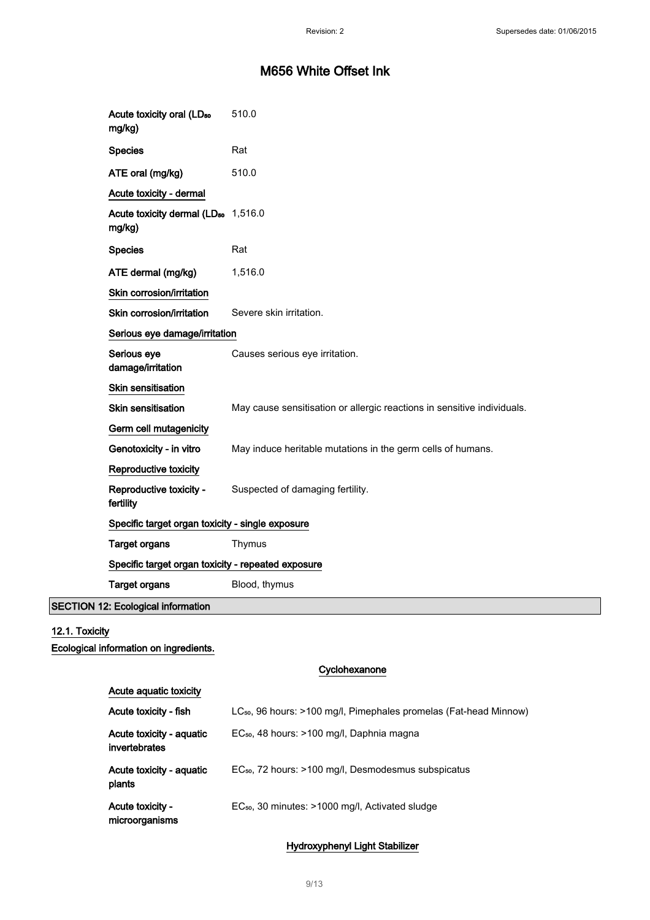| Acute toxicity oral (LD <sub>50</sub><br>mg/kg)           | 510.0                                                                   |  |
|-----------------------------------------------------------|-------------------------------------------------------------------------|--|
| <b>Species</b>                                            | Rat                                                                     |  |
| ATE oral (mg/kg)                                          | 510.0                                                                   |  |
| Acute toxicity - dermal                                   |                                                                         |  |
| Acute toxicity dermal (LD <sub>50</sub> 1,516.0<br>mg/kg) |                                                                         |  |
| <b>Species</b>                                            | Rat                                                                     |  |
| ATE dermal (mg/kg)                                        | 1,516.0                                                                 |  |
| Skin corrosion/irritation                                 |                                                                         |  |
| Skin corrosion/irritation                                 | Severe skin irritation.                                                 |  |
|                                                           | Serious eye damage/irritation                                           |  |
| Serious eye<br>damage/irritation                          | Causes serious eye irritation.                                          |  |
| Skin sensitisation                                        |                                                                         |  |
| <b>Skin sensitisation</b>                                 | May cause sensitisation or allergic reactions in sensitive individuals. |  |
| Germ cell mutagenicity                                    |                                                                         |  |
| Genotoxicity - in vitro                                   | May induce heritable mutations in the germ cells of humans.             |  |
| Reproductive toxicity                                     |                                                                         |  |
| Reproductive toxicity -<br>fertility                      | Suspected of damaging fertility.                                        |  |
|                                                           | Specific target organ toxicity - single exposure                        |  |
| <b>Target organs</b>                                      | Thymus                                                                  |  |
|                                                           | Specific target organ toxicity - repeated exposure                      |  |
| <b>Target organs</b>                                      | Blood, thymus                                                           |  |
| <b>SECTION 12: Ecological information</b>                 |                                                                         |  |

### 12.1. Toxicity

Ecological information on ingredients.

#### Cyclohexanone

| Acute aguatic toxicity                    |                                                                               |
|-------------------------------------------|-------------------------------------------------------------------------------|
| Acute toxicity - fish                     | LC <sub>50</sub> , 96 hours: >100 mg/l, Pimephales promelas (Fat-head Minnow) |
| Acute toxicity - aquatic<br>invertebrates | EC <sub>50</sub> , 48 hours: >100 mg/l, Daphnia magna                         |
| Acute toxicity - aquatic<br>plants        | EC <sub>50</sub> , 72 hours: >100 mg/l, Desmodesmus subspicatus               |
| <b>Acute toxicity -</b><br>microorganisms | $EC_{50}$ , 30 minutes: >1000 mg/l, Activated sludge                          |

### Hydroxyphenyl Light Stabilizer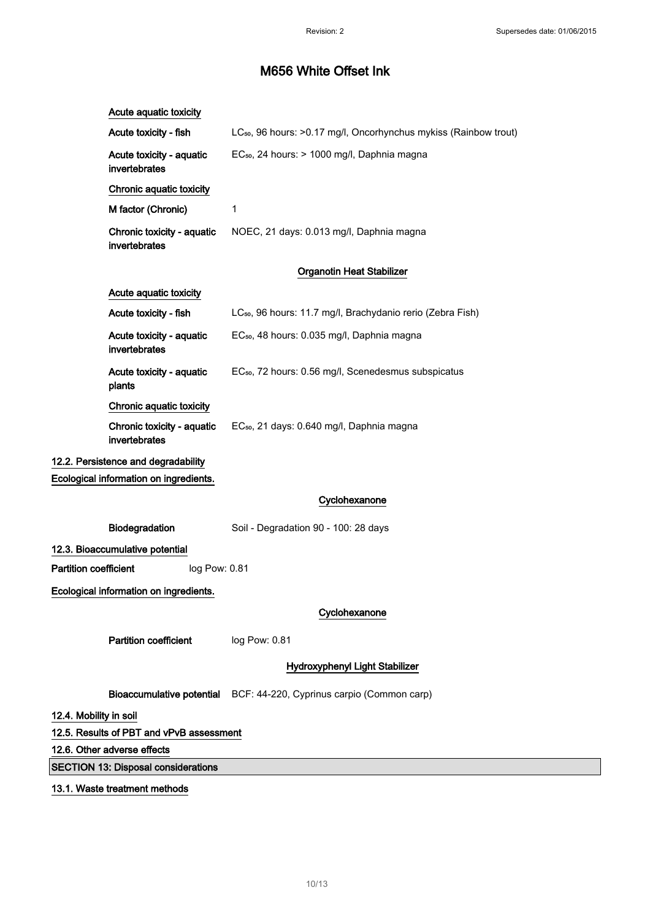| Acute aquatic toxicity                        |                                                                              |
|-----------------------------------------------|------------------------------------------------------------------------------|
| Acute toxicity - fish                         | LC <sub>50</sub> , 96 hours: >0.17 mg/l, Oncorhynchus mykiss (Rainbow trout) |
| Acute toxicity - aquatic<br>invertebrates     | EC <sub>50</sub> , 24 hours: > 1000 mg/l, Daphnia magna                      |
| Chronic aquatic toxicity                      |                                                                              |
| M factor (Chronic)                            | 1                                                                            |
| Chronic toxicity - aquatic<br>invertebrates   | NOEC, 21 days: 0.013 mg/l, Daphnia magna                                     |
|                                               | <b>Organotin Heat Stabilizer</b>                                             |
| Acute aquatic toxicity                        |                                                                              |
| Acute toxicity - fish                         | LC <sub>50</sub> , 96 hours: 11.7 mg/l, Brachydanio rerio (Zebra Fish)       |
| Acute toxicity - aquatic<br>invertebrates     | EC <sub>50</sub> , 48 hours: 0.035 mg/l, Daphnia magna                       |
| Acute toxicity - aquatic<br>plants            | EC <sub>50</sub> , 72 hours: 0.56 mg/l, Scenedesmus subspicatus              |
| Chronic aquatic toxicity                      |                                                                              |
| Chronic toxicity - aquatic<br>invertebrates   | EC <sub>50</sub> , 21 days: 0.640 mg/l, Daphnia magna                        |
| 12.2. Persistence and degradability           |                                                                              |
| Ecological information on ingredients.        |                                                                              |
|                                               | Cyclohexanone                                                                |
| Biodegradation                                | Soil - Degradation 90 - 100: 28 days                                         |
| 12.3. Bioaccumulative potential               |                                                                              |
| <b>Partition coefficient</b><br>log Pow: 0.81 |                                                                              |
| Ecological information on ingredients.        |                                                                              |
|                                               | Cyclohexanone                                                                |
| <b>Partition coefficient</b>                  | log Pow: 0.81                                                                |
|                                               | Hydroxyphenyl Light Stabilizer                                               |
|                                               | Bioaccumulative potential BCF: 44-220, Cyprinus carpio (Common carp)         |
| 12.4. Mobility in soil                        |                                                                              |
| 12.5. Results of PBT and vPvB assessment      |                                                                              |
| 12.6. Other adverse effects                   |                                                                              |
| <b>SECTION 13: Disposal considerations</b>    |                                                                              |
| 13.1. Waste treatment methods                 |                                                                              |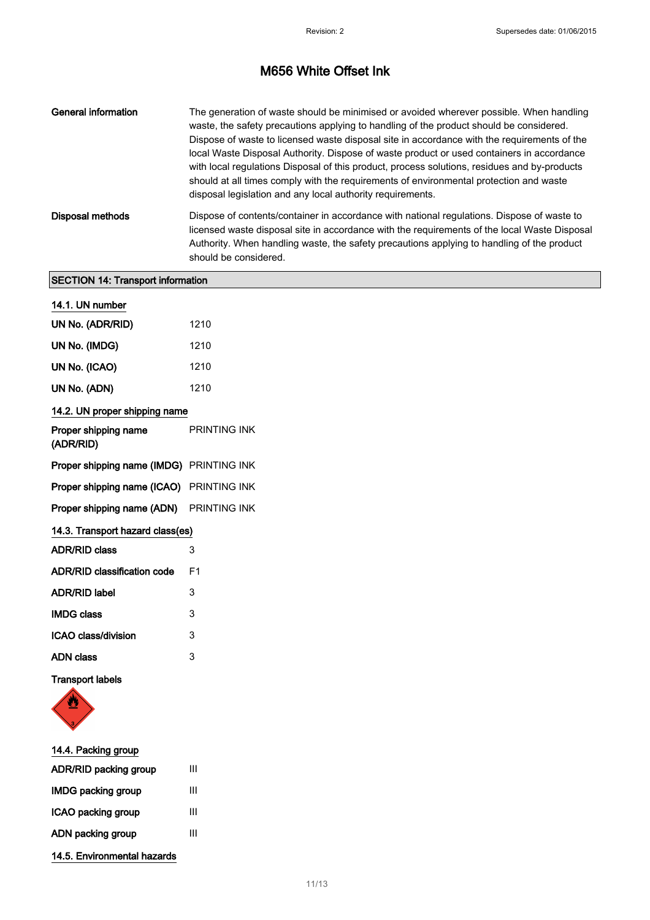| General information | The generation of waste should be minimised or avoided wherever possible. When handling<br>waste, the safety precautions applying to handling of the product should be considered.<br>Dispose of waste to licensed waste disposal site in accordance with the requirements of the<br>local Waste Disposal Authority. Dispose of waste product or used containers in accordance<br>with local regulations Disposal of this product, process solutions, residues and by-products<br>should at all times comply with the requirements of environmental protection and waste<br>disposal legislation and any local authority requirements. |
|---------------------|----------------------------------------------------------------------------------------------------------------------------------------------------------------------------------------------------------------------------------------------------------------------------------------------------------------------------------------------------------------------------------------------------------------------------------------------------------------------------------------------------------------------------------------------------------------------------------------------------------------------------------------|
| Disposal methods    | Dispose of contents/container in accordance with national regulations. Dispose of waste to<br>licensed waste disposal site in accordance with the requirements of the local Waste Disposal<br>Authority. When handling waste, the safety precautions applying to handling of the product<br>should be considered.                                                                                                                                                                                                                                                                                                                      |

### SECTION 14: Transport information

| 14.1. UN number                                 |                |  |
|-------------------------------------------------|----------------|--|
| UN No. (ADR/RID)                                | 1210           |  |
| UN No. (IMDG)                                   | 1210           |  |
| UN No. (ICAO)                                   | 1210           |  |
| UN No. (ADN)                                    | 1210           |  |
| 14.2. UN proper shipping name                   |                |  |
| Proper shipping name<br>(ADR/RID)               | PRINTING INK   |  |
| <b>Proper shipping name (IMDG)</b> PRINTING INK |                |  |
| Proper shipping name (ICAO) PRINTING INK        |                |  |
| Proper shipping name (ADN) PRINTING INK         |                |  |
| 14.3. Transport hazard class(es)                |                |  |
| <b>ADR/RID class</b>                            | 3              |  |
| <b>ADR/RID classification code</b>              | F <sub>1</sub> |  |
| <b>ADR/RID label</b>                            | 3              |  |
| <b>IMDG class</b>                               | 3              |  |
| ICAO class/division                             | 3              |  |
| <b>ADN</b> class                                | 3              |  |
| <b>Transport labels</b>                         |                |  |



| 14.4. Packing group         |   |
|-----------------------------|---|
| ADR/RID packing group       | Ш |
| <b>IMDG packing group</b>   | Ш |
| ICAO packing group          | Ш |
| ADN packing group           | Ш |
| 14.5. Environmental hazards |   |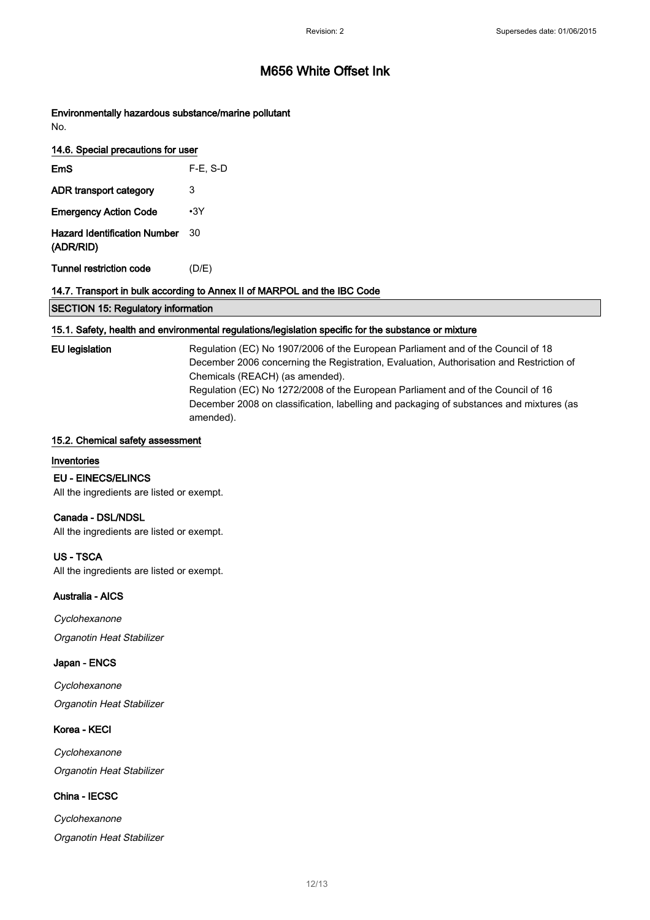Environmentally hazardous substance/marine pollutant No.

| 14.6. Special precautions for user               |             |
|--------------------------------------------------|-------------|
| EmS                                              | $F-E$ , S-D |
| ADR transport category                           | 3           |
| <b>Emergency Action Code</b>                     | $\cdot$ 3Y  |
| <b>Hazard Identification Number</b><br>(ADR/RID) | 30          |
| Tunnel restriction code                          | (D/E)       |

#### 14.7. Transport in bulk according to Annex II of MARPOL and the IBC Code

#### 15.1. Safety, health and environmental regulations/legislation specific for the substance or mixture

EU legislation Regulation (EC) No 1907/2006 of the European Parliament and of the Council of 18 December 2006 concerning the Registration, Evaluation, Authorisation and Restriction of Chemicals (REACH) (as amended). Regulation (EC) No 1272/2008 of the European Parliament and of the Council of 16 December 2008 on classification, labelling and packaging of substances and mixtures (as amended).

#### 15.2. Chemical safety assessment

#### Inventories

EU - EINECS/ELINCS

All the ingredients are listed or exempt.

#### Canada - DSL/NDSL

All the ingredients are listed or exempt.

#### US - TSCA

All the ingredients are listed or exempt.

#### Australia - AICS

**Cyclohexanone** Organotin Heat Stabilizer

#### Japan - ENCS

**Cyclohexanone** Organotin Heat Stabilizer

#### Korea - KECI

**Cyclohexanone** Organotin Heat Stabilizer

#### China - IECSC

Cyclohexanone Organotin Heat Stabilizer